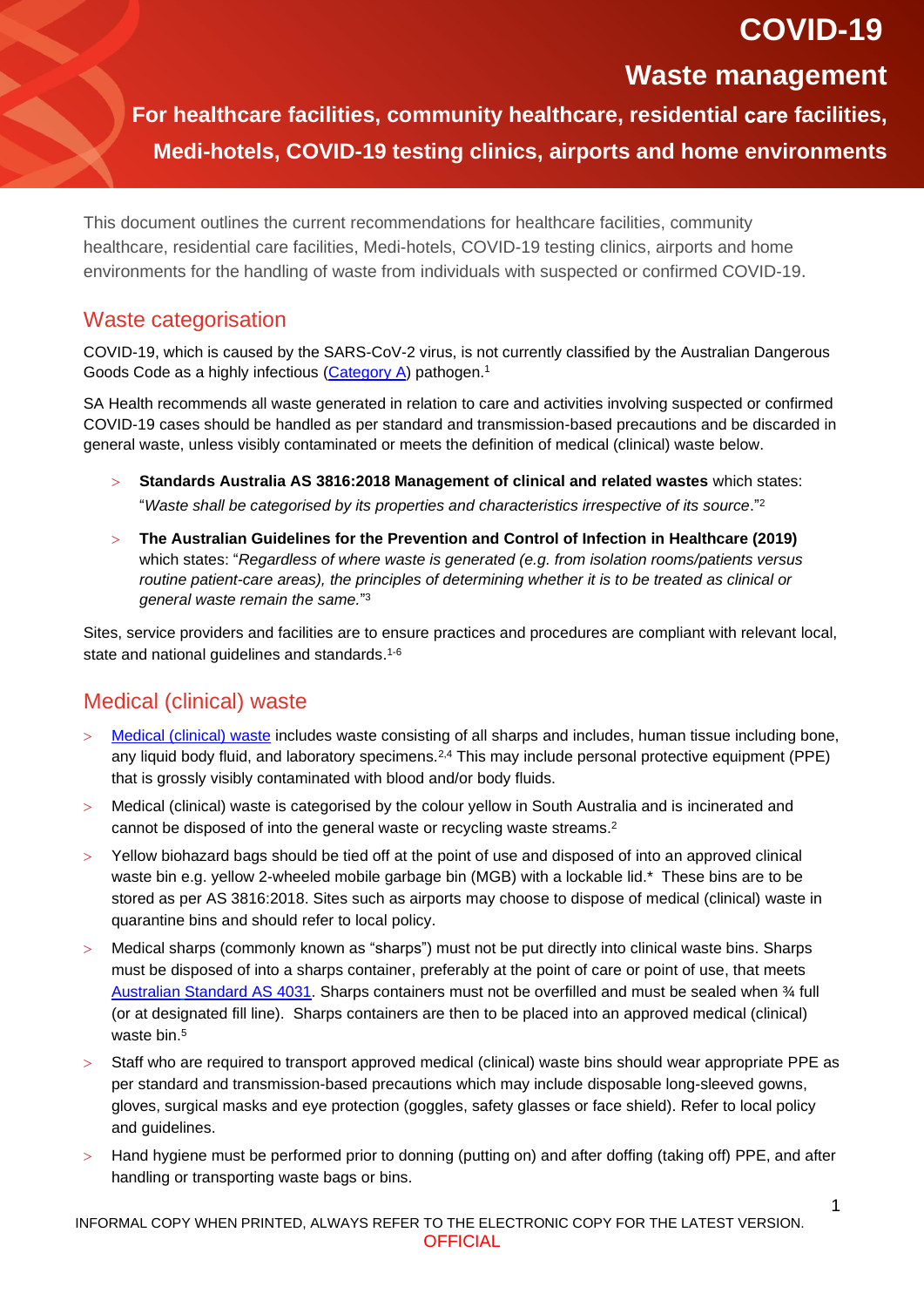# **COVID-19**

## **Waste management**

**For healthcare facilities, community healthcare, residential facilities, Medi-hotels, COVID-19 testing clinics, airports and home environments**

This document outlines the current recommendations for healthcare facilities, community healthcare, residential care facilities, Medi-hotels, COVID-19 testing clinics, airports and home environments for the handling of waste from individuals with suspected or confirmed COVID-19.

#### Waste categorisation

COVID-19, which is caused by the SARS-CoV-2 virus, is not currently classified by the Australian Dangerous Goods Code as a highly infectious [\(Category A\)](https://www1.health.gov.au/internet/publications/publishing.nsf/Content/npaac-pub-transp-path-spec-drft~transp-appendh) pathogen.<sup>1</sup>

SA Health recommends all waste generated in relation to care and activities involving suspected or confirmed COVID-19 cases should be handled as per standard and transmission-based precautions and be discarded in general waste, unless visibly contaminated or meets the definition of medical (clinical) waste below.

- **Standards Australia AS 3816:2018 Management of clinical and related wastes** which states: "*Waste shall be categorised by its properties and characteristics irrespective of its source*." 2
- **The Australian Guidelines for the Prevention and Control of Infection in Healthcare (2019)** which states: "*Regardless of where waste is generated (e.g. from isolation rooms/patients versus routine patient-care areas), the principles of determining whether it is to be treated as clinical or general waste remain the same.*" 3

Sites, service providers and facilities are to ensure practices and procedures are compliant with relevant local, state and national guidelines and standards. 1-6

## Medical (clinical) waste

- [Medical \(clinical\) waste](https://www.sahealth.sa.gov.au/wps/wcm/connect/public+content/sa+health+internet/clinical+resources/clinical+programs+and+practice+guidelines/infection+and+injury+management/healthcare+associated+infections/prevention+and+management+of+infections+in+healthcare+settings/environmental+hygiene+in+healthcare) includes waste consisting of all sharps and includes, human tissue including bone, any liquid body fluid, and laboratory specimens.<sup>2,4</sup> This may include personal protective equipment (PPE) that is grossly visibly contaminated with blood and/or body fluids.
- Medical (clinical) waste is categorised by the colour yellow in South Australia and is incinerated and cannot be disposed of into the general waste or recycling waste streams. 2
- Yellow biohazard bags should be tied off at the point of use and disposed of into an approved clinical waste bin e.g. yellow 2-wheeled mobile garbage bin (MGB) with a lockable lid.\* These bins are to be stored as per AS 3816:2018. Sites such as airports may choose to dispose of medical (clinical) waste in quarantine bins and should refer to local policy.
- Medical sharps (commonly known as "sharps") must not be put directly into clinical waste bins. Sharps must be disposed of into a sharps container, preferably at the point of care or point of use, that meets Australian [Standard AS 4031.](https://www.standards.org.au/standards-catalogue/sa-snz/health/he-011/as--4031-1992) Sharps containers must not be overfilled and must be sealed when ¾ full (or at designated fill line). Sharps containers are then to be placed into an approved medical (clinical) waste bin. 5
- Staff who are required to transport approved medical (clinical) waste bins should wear appropriate PPE as per standard and transmission-based precautions which may include disposable long-sleeved gowns, gloves, surgical masks and eye protection (goggles, safety glasses or face shield). Refer to local policy and guidelines.
- Hand hygiene must be performed prior to donning (putting on) and after doffing (taking off) PPE, and after handling or transporting waste bags or bins.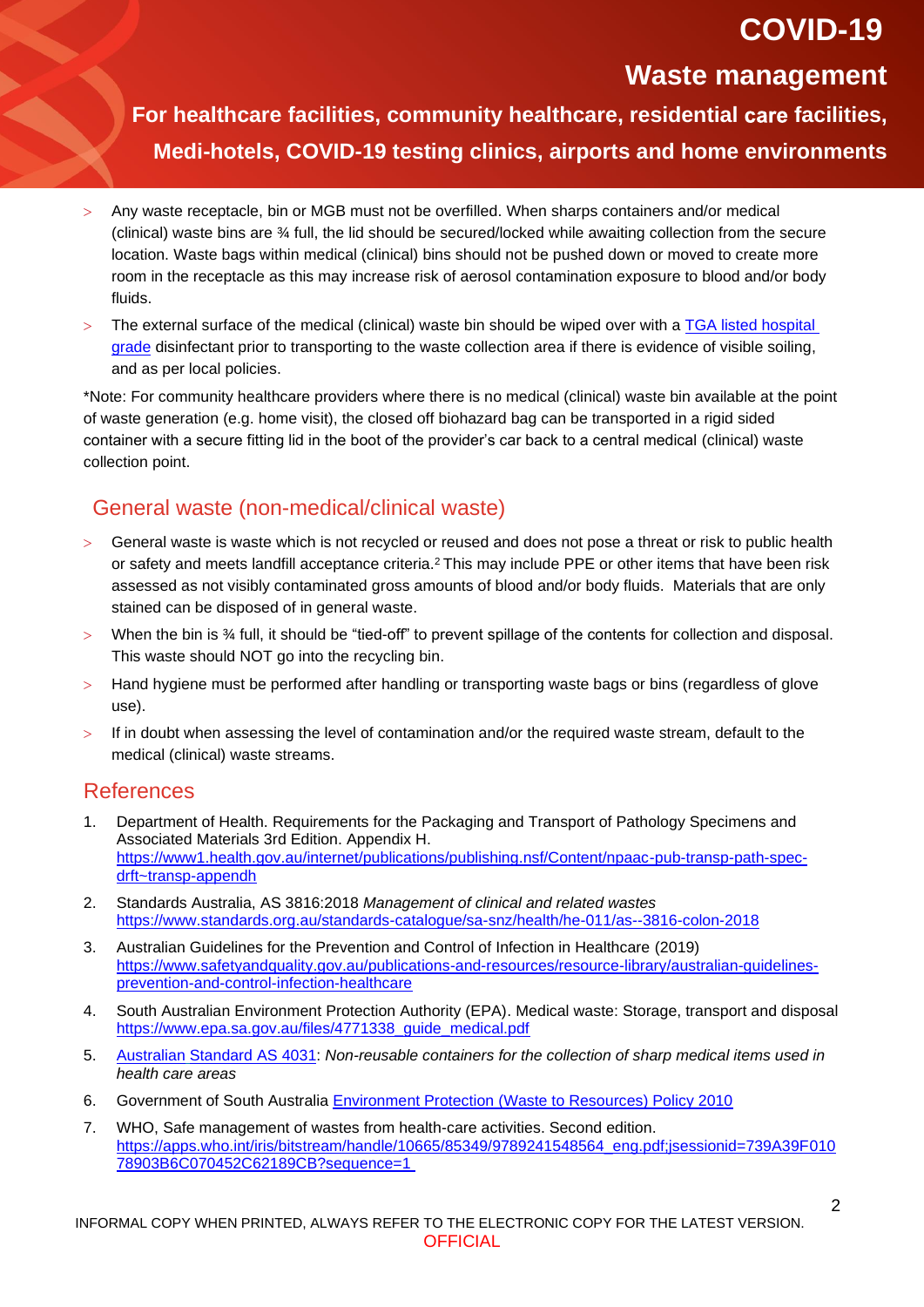# **COVID-19**

## **Waste management**

**For healthcare facilities, community healthcare, residential facilities, Medi-hotels, COVID-19 testing clinics, airports and home environments**

- Any waste receptacle, bin or MGB must not be overfilled. When sharps containers and/or medical (clinical) waste bins are ¾ full, the lid should be secured/locked while awaiting collection from the secure location. Waste bags within medical (clinical) bins should not be pushed down or moved to create more room in the receptacle as this may increase risk of aerosol contamination exposure to blood and/or body fluids.
- The external surface of the medical (clinical) waste bin should be wiped over with a [TGA listed hospital](https://www.tga.gov.au/disinfectants-use-against-covid-19-artg-legal-supply-australia)  [grade](https://www.tga.gov.au/disinfectants-use-against-covid-19-artg-legal-supply-australia) disinfectant prior to transporting to the waste collection area if there is evidence of visible soiling, and as per local policies.

\*Note: For community healthcare providers where there is no medical (clinical) waste bin available at the point of waste generation (e.g. home visit), the closed off biohazard bag can be transported in a rigid sided container with a secure fitting lid in the boot of the provider's car back to a central medical (clinical) waste collection point.

### General waste (non-medical/clinical waste)

- General waste is waste which is not recycled or reused and does not pose a threat or risk to public health or safety and meets landfill acceptance criteria.<sup>2</sup> This may include PPE or other items that have been risk assessed as not visibly contaminated gross amounts of blood and/or body fluids. Materials that are only stained can be disposed of in general waste.
- When the bin is  $\frac{3}{4}$  full, it should be "tied-off" to prevent spillage of the contents for collection and disposal. This waste should NOT go into the recycling bin.
- Hand hygiene must be performed after handling or transporting waste bags or bins (regardless of glove use).
- If in doubt when assessing the level of contamination and/or the required waste stream, default to the medical (clinical) waste streams.

#### References

- 1. Department of Health. Requirements for the Packaging and Transport of Pathology Specimens and Associated Materials 3rd Edition. Appendix H. [https://www1.health.gov.au/internet/publications/publishing.nsf/Content/npaac-pub-transp-path-spec](https://www1.health.gov.au/internet/publications/publishing.nsf/Content/npaac-pub-transp-path-spec-drft~transp-appendh)[drft~transp-appendh](https://www1.health.gov.au/internet/publications/publishing.nsf/Content/npaac-pub-transp-path-spec-drft~transp-appendh)
- 2. Standards Australia, AS 3816:2018 *[Management of clinical and related wastes](https://www.standards.org.au/standards-catalogue/sa-snz/health/he-011/as--3816-colon-2018)* <https://www.standards.org.au/standards-catalogue/sa-snz/health/he-011/as--3816-colon-2018>
- 3. Australian Guidelines for the Prevention and Control of Infection in Healthcare (2019) [https://www.safetyandquality.gov.au/publications-and-resources/resource-library/australian-guidelines](https://www.safetyandquality.gov.au/publications-and-resources/resource-library/australian-guidelines-prevention-and-control-infection-healthcare)[prevention-and-control-infection-healthcare](https://www.safetyandquality.gov.au/publications-and-resources/resource-library/australian-guidelines-prevention-and-control-infection-healthcare)
- 4. South Australian Environment Protection Authority (EPA). Medical waste: Storage, transport and disposal [https://www.epa.sa.gov.au/files/4771338\\_guide\\_medical.pdf](https://www.epa.sa.gov.au/files/4771338_guide_medical.pdf)
- 5. Australian [Standard AS 4031:](https://www.standards.org.au/standards-catalogue/sa-snz/health/he-011/as--4031-1992) *Non-reusable containers for the collection of sharp medical items used in health care areas*
- 6. Government of South Australia [Environment Protection \(Waste to Resources\) Policy 2010](https://www.legislation.sa.gov.au/lz?path=%2FC%2FPOL%2FEnvironment%20Protection%20(Waste%20to%20Resources)%20Policy%202010)
- 7. WHO, Safe management of wastes from health-care activities. Second edition. [https://apps.who.int/iris/bitstream/handle/10665/85349/9789241548564\\_eng.pdf;jsessionid=739A39F010](https://apps.who.int/iris/bitstream/handle/10665/85349/9789241548564_eng.pdf;jsessionid=739A39F01078903B6C070452C62189CB?sequence=1) [78903B6C070452C62189CB?sequence=1](https://apps.who.int/iris/bitstream/handle/10665/85349/9789241548564_eng.pdf;jsessionid=739A39F01078903B6C070452C62189CB?sequence=1)